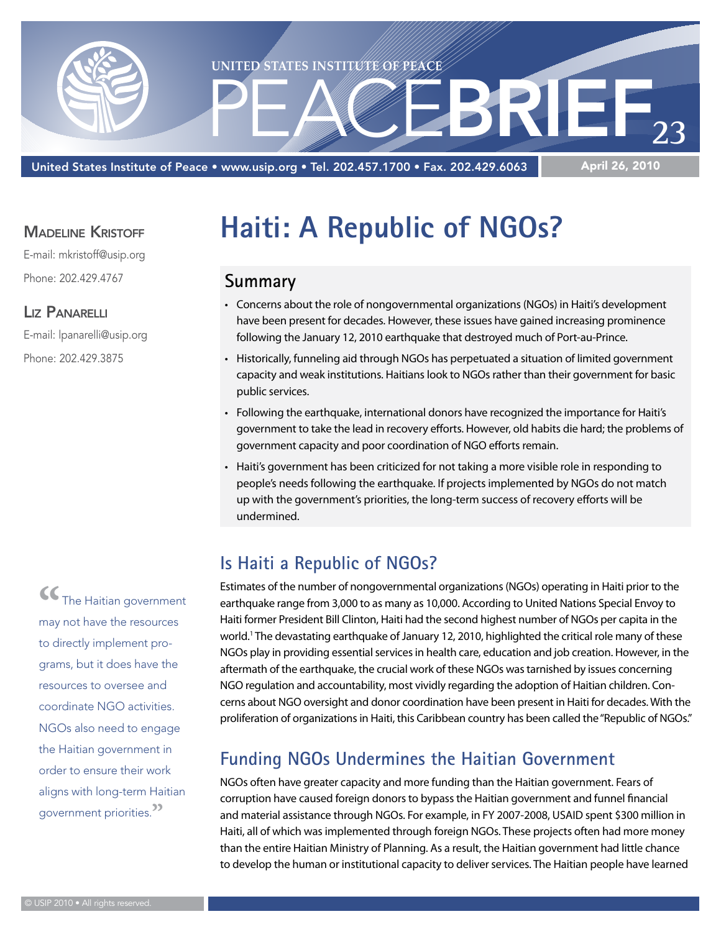

United States Institute of Peace • www.usip.org • Tel. 202.457.1700 • Fax. 202.429.6063

#### **MADELINE KRISTOFF**

E-mail: mkristoff@usip.org Phone: 202.429.4767

#### Liz Panarelli

E-mail: lpanarelli@usip.org Phone: 202.429.3875

> **"**The Haitian government may not have the resources to directly implement programs, but it does have the resources to oversee and coordinate NGO activities. NGOs also need to engage the Haitian government in order to ensure their work aligns with long-term Haitian government priorities.**"**

# **Haiti: A Republic of NGOs?**

#### **Summary**

- • Concerns about the role of nongovernmental organizations (NGOs) in Haiti's development have been present for decades. However, these issues have gained increasing prominence following the January 12, 2010 earthquake that destroyed much of Port-au-Prince.
- Historically, funneling aid through NGOs has perpetuated a situation of limited government capacity and weak institutions. Haitians look to NGOs rather than their government for basic public services.
- • Following the earthquake, international donors have recognized the importance for Haiti's government to take the lead in recovery efforts. However, old habits die hard; the problems of government capacity and poor coordination of NGO efforts remain.
- Haiti's government has been criticized for not taking a more visible role in responding to people's needs following the earthquake. If projects implemented by NGOs do not match up with the government's priorities, the long-term success of recovery efforts will be undermined.

# **Is Haiti a Republic of NGOs?**

Estimates of the number of nongovernmental organizations (NGOs) operating in Haiti prior to the earthquake range from 3,000 to as many as 10,000. According to United Nations Special Envoy to Haiti former President Bill Clinton, Haiti had the second highest number of NGOs per capita in the world.<sup>1</sup> The devastating earthquake of January 12, 2010, highlighted the critical role many of these NGOs play in providing essential services in health care, education and job creation. However, in the aftermath of the earthquake, the crucial work of these NGOs was tarnished by issues concerning NGO regulation and accountability, most vividly regarding the adoption of Haitian children. Concerns about NGO oversight and donor coordination have been present in Haiti for decades. With the proliferation of organizations in Haiti, this Caribbean country has been called the "Republic of NGOs."

## **Funding NGOs Undermines the Haitian Government**

NGOs often have greater capacity and more funding than the Haitian government. Fears of corruption have caused foreign donors to bypass the Haitian government and funnel financial and material assistance through NGOs. For example, in FY 2007-2008, USAID spent \$300 million in Haiti, all of which was implemented through foreign NGOs. These projects often had more money than the entire Haitian Ministry of Planning. As a result, the Haitian government had little chance to develop the human or institutional capacity to deliver services. The Haitian people have learned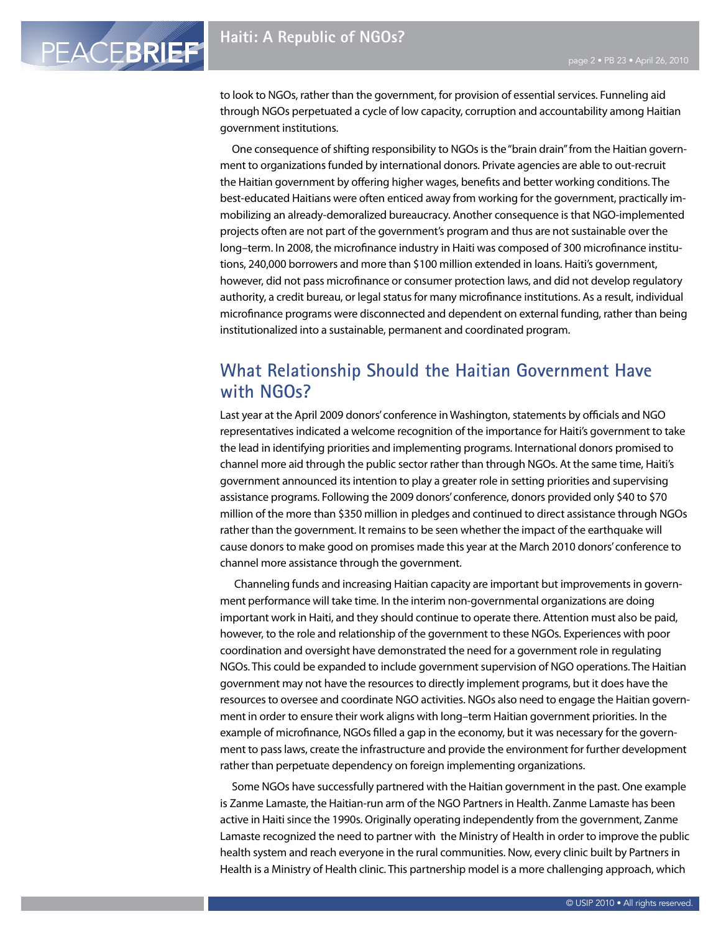PEACEBRIEF

to look to NGOs, rather than the government, for provision of essential services. Funneling aid through NGOs perpetuated a cycle of low capacity, corruption and accountability among Haitian government institutions.

One consequence of shifting responsibility to NGOs is the "brain drain" from the Haitian government to organizations funded by international donors. Private agencies are able to out-recruit the Haitian government by offering higher wages, benefits and better working conditions. The best-educated Haitians were often enticed away from working for the government, practically immobilizing an already-demoralized bureaucracy. Another consequence is that NGO-implemented projects often are not part of the government's program and thus are not sustainable over the long–term. In 2008, the microfinance industry in Haiti was composed of 300 microfinance institutions, 240,000 borrowers and more than \$100 million extended in loans. Haiti's government, however, did not pass microfinance or consumer protection laws, and did not develop regulatory authority, a credit bureau, or legal status for many microfinance institutions. As a result, individual microfinance programs were disconnected and dependent on external funding, rather than being institutionalized into a sustainable, permanent and coordinated program.

# **What Relationship Should the Haitian Government Have with NGOs?**

Last year at the April 2009 donors' conference in Washington, statements by officials and NGO representatives indicated a welcome recognition of the importance for Haiti's government to take the lead in identifying priorities and implementing programs. International donors promised to channel more aid through the public sector rather than through NGOs. At the same time, Haiti's government announced its intention to play a greater role in setting priorities and supervising assistance programs. Following the 2009 donors' conference, donors provided only \$40 to \$70 million of the more than \$350 million in pledges and continued to direct assistance through NGOs rather than the government. It remains to be seen whether the impact of the earthquake will cause donors to make good on promises made this year at the March 2010 donors' conference to channel more assistance through the government.

 Channeling funds and increasing Haitian capacity are important but improvements in government performance will take time. In the interim non-governmental organizations are doing important work in Haiti, and they should continue to operate there. Attention must also be paid, however, to the role and relationship of the government to these NGOs. Experiences with poor coordination and oversight have demonstrated the need for a government role in regulating NGOs. This could be expanded to include government supervision of NGO operations. The Haitian government may not have the resources to directly implement programs, but it does have the resources to oversee and coordinate NGO activities. NGOs also need to engage the Haitian government in order to ensure their work aligns with long–term Haitian government priorities. In the example of microfinance, NGOs filled a gap in the economy, but it was necessary for the government to pass laws, create the infrastructure and provide the environment for further development rather than perpetuate dependency on foreign implementing organizations.

Some NGOs have successfully partnered with the Haitian government in the past. One example is Zanme Lamaste, the Haitian-run arm of the NGO Partners in Health. Zanme Lamaste has been active in Haiti since the 1990s. Originally operating independently from the government, Zanme Lamaste recognized the need to partner with the Ministry of Health in order to improve the public health system and reach everyone in the rural communities. Now, every clinic built by Partners in Health is a Ministry of Health clinic. This partnership model is a more challenging approach, which